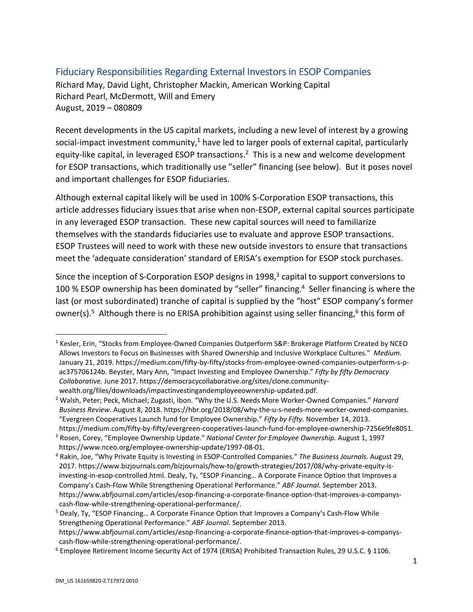## Fiduciary Responsibilities Regarding External Investors in ESOP Companies

Richard May, David Light, Christopher Mackin, American Working Capital Richard Pearl, McDermott, Will and Emery August, 2019 – 080809

Recent developments in the US capital markets, including a new level of interest by a growing social-impact investment community,<sup>1</sup> have led to larger pools of external capital, particularly equity-like capital, in leveraged ESOP transactions.<sup>2</sup> This is a new and welcome development for ESOP transactions, which traditionally use "seller" financing (see below). But it poses novel and important challenges for ESOP fiduciaries.

Although external capital likely will be used in 100% S-Corporation ESOP transactions, this article addresses fiduciary issues that arise when non-ESOP, external capital sources participate in any leveraged ESOP transaction. These new capital sources will need to familiarize themselves with the standards fiduciaries use to evaluate and approve ESOP transactions. ESOP Trustees will need to work with these new outside investors to ensure that transactions meet the 'adequate consideration' standard of ERISA's exemption for ESOP stock purchases.

Since the inception of S-Corporation ESOP designs in 1998, $3$  capital to support conversions to 100 % ESOP ownership has been dominated by "seller" financing.<sup>4</sup> Seller financing is where the last (or most subordinated) tranche of capital is supplied by the "host" ESOP company's former owner(s).<sup>5</sup> Although there is no ERISA prohibition against using seller financing, <sup>6</sup> this form of

<sup>&</sup>lt;sup>1</sup> Kesler, Erin, "Stocks from Employee-Owned Companies Outperform S&P: Brokerage Platform Created by NCEO Allows Investors to Focus on Businesses with Shared Ownership and Inclusive Workplace Cultures." *Medium.*  January 21, 2019. https://medium.com/fifty-by-fifty/stocks-from-employee-owned-companies-outperform-s-pac375706124b. Beyster, Mary Ann, "Impact Investing and Employee Ownership." *Fifty by fifty Democracy Collaborative.* June 2017. https://democracycollaborative.org/sites/clone.communitywealth.org/files/downloads/impactinvestingandemployeeownership-updated.pdf. 2

Walsh, Peter; Peck, Michael; Zugasti, Ibon. "Why the U.S. Needs More Worker-Owned Companies." *Harvard Business Review*. August 8, 2018. https://hbr.org/2018/08/why-the-u-s-needs-more-worker-owned-companies. "Evergreen Cooperatives Launch fund for Employee Ownership." *Fifty by Fifty.* November 14, 2013. https://medium.com/fifty-by-fifty/evergreen-cooperatives-launch-fund-for-employee-ownership-7256e9fe8051. 3

<sup>&</sup>lt;sup>3</sup> Rosen, Corey, "Employee Ownership Update." *National Center for Employee Ownership.* August 1, 1997 https://www.nceo.org/employee-ownership-update/1997-08-01. 4

Rakin, Joe, "Why Private Equity is Investing in ESOP-Controlled Companies." *The Business Journals.* August 29, 2017. https://www.bizjournals.com/bizjournals/how-to/growth-strategies/2017/08/why-private-equity-isinvesting-in-esop-controlled.html. Dealy, Ty, "ESOP Financing… A Corporate Finance Option that Improves a Company's Cash-Flow While Strengthening Operational Performance." *ABF Journal.* September 2013. https://www.abfjournal.com/articles/esop-financing-a-corporate-finance-option-that-improves-a-companyscash-flow-while-strengthening-operational-performance/. 5

<sup>&</sup>lt;sup>5</sup> Dealy, Ty, "ESOP Financing... A Corporate Finance Option that Improves a Company's Cash-Flow While Strengthening Operational Performance." *ABF Journal.* September 2013. https://www.abfjournal.com/articles/esop-financing-a-corporate-finance-option-that-improves-a-companyscash-flow-while-strengthening-operational-performance/. 6

Employee Retirement Income Security Act of 1974 (ERISA) Prohibited Transaction Rules, 29 U.S.C. § 1106.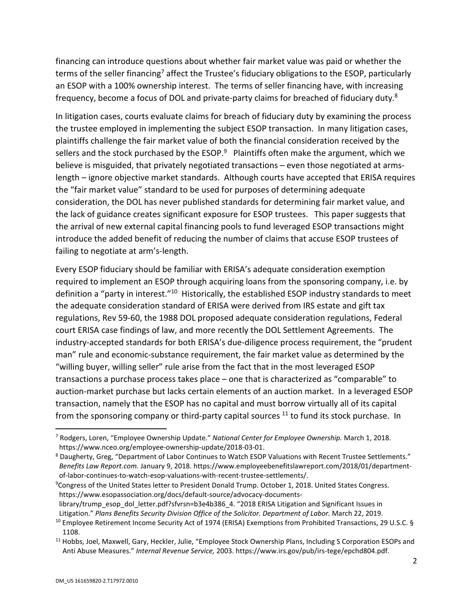financing can introduce questions about whether fair market value was paid or whether the terms of the seller financing<sup>7</sup> affect the Trustee's fiduciary obligations to the ESOP, particularly an ESOP with a 100% ownership interest. The terms of seller financing have, with increasing frequency, become a focus of DOL and private-party claims for breached of fiduciary duty.8

In litigation cases, courts evaluate claims for breach of fiduciary duty by examining the process the trustee employed in implementing the subject ESOP transaction. In many litigation cases, plaintiffs challenge the fair market value of both the financial consideration received by the sellers and the stock purchased by the ESOP. $9$  Plaintiffs often make the argument, which we believe is misguided, that privately negotiated transactions – even those negotiated at armslength – ignore objective market standards. Although courts have accepted that ERISA requires the "fair market value" standard to be used for purposes of determining adequate consideration, the DOL has never published standards for determining fair market value, and the lack of guidance creates significant exposure for ESOP trustees. This paper suggests that the arrival of new external capital financing pools to fund leveraged ESOP transactions might introduce the added benefit of reducing the number of claims that accuse ESOP trustees of failing to negotiate at arm's-length.

Every ESOP fiduciary should be familiar with ERISA's adequate consideration exemption required to implement an ESOP through acquiring loans from the sponsoring company, i.e. by definition a "party in interest."<sup>10</sup> Historically, the established ESOP industry standards to meet the adequate consideration standard of ERISA were derived from IRS estate and gift tax regulations, Rev 59-60, the 1988 DOL proposed adequate consideration regulations, Federal court ERISA case findings of law, and more recently the DOL Settlement Agreements. The industry-accepted standards for both ERISA's due-diligence process requirement, the "prudent man" rule and economic-substance requirement, the fair market value as determined by the "willing buyer, willing seller" rule arise from the fact that in the most leveraged ESOP transactions a purchase process takes place – one that is characterized as "comparable" to auction-market purchase but lacks certain elements of an auction market. In a leveraged ESOP transaction, namely that the ESOP has no capital and must borrow virtually all of its capital from the sponsoring company or third-party capital sources  $11$  to fund its stock purchase. In

<sup>7</sup> Rodgers, Loren, "Employee Ownership Update." *National Center for Employee Ownership.* March 1, 2018. https://www.nceo.org/employee-ownership-update/2018-03-01. 8

Daugherty, Greg, "Department of Labor Continues to Watch ESOP Valuations with Recent Trustee Settlements." *Benefits Law Report.com.* January 9, 2018. https://www.employeebenefitslawreport.com/2018/01/departmentof-labor-continues-to-watch-esop-valuations-with-recent-trustee-settlements/. 9

<sup>&</sup>lt;sup>9</sup>Congress of the United States letter to President Donald Trump. October 1, 2018. United States Congress. https://www.esopassociation.org/docs/default-source/advocacy-documents-

library/trump\_esop\_dol\_letter.pdf?sfvrsn=b3e4b386\_4. "2018 ERISA Litigation and Significant Issues in Litigation." Plans Benefits Security Division Office of the Solicitor. Department of Labor. March 22, 2019.<br><sup>10</sup> Employee Retirement Income Security Act of 1974 (ERISA) Exemptions from Prohibited Transactions, 29 U.S.C. §

<sup>1108. 11</sup> Hobbs, Joel, Maxwell, Gary, Heckler, Julie, "Employee Stock Ownership Plans, Including S Corporation ESOPs and

Anti Abuse Measures." *Internal Revenue Service,* 2003. https://www.irs.gov/pub/irs-tege/epchd804.pdf.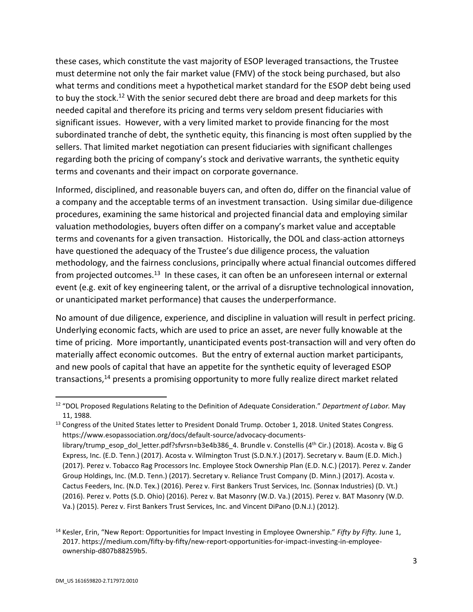these cases, which constitute the vast majority of ESOP leveraged transactions, the Trustee must determine not only the fair market value (FMV) of the stock being purchased, but also what terms and conditions meet a hypothetical market standard for the ESOP debt being used to buy the stock.<sup>12</sup> With the senior secured debt there are broad and deep markets for this needed capital and therefore its pricing and terms very seldom present fiduciaries with significant issues. However, with a very limited market to provide financing for the most subordinated tranche of debt, the synthetic equity, this financing is most often supplied by the sellers. That limited market negotiation can present fiduciaries with significant challenges regarding both the pricing of company's stock and derivative warrants, the synthetic equity terms and covenants and their impact on corporate governance.

Informed, disciplined, and reasonable buyers can, and often do, differ on the financial value of a company and the acceptable terms of an investment transaction. Using similar due-diligence procedures, examining the same historical and projected financial data and employing similar valuation methodologies, buyers often differ on a company's market value and acceptable terms and covenants for a given transaction. Historically, the DOL and class-action attorneys have questioned the adequacy of the Trustee's due diligence process, the valuation methodology, and the fairness conclusions, principally where actual financial outcomes differed from projected outcomes.<sup>13</sup> In these cases, it can often be an unforeseen internal or external event (e.g. exit of key engineering talent, or the arrival of a disruptive technological innovation, or unanticipated market performance) that causes the underperformance.

No amount of due diligence, experience, and discipline in valuation will result in perfect pricing. Underlying economic facts, which are used to price an asset, are never fully knowable at the time of pricing. More importantly, unanticipated events post-transaction will and very often do materially affect economic outcomes. But the entry of external auction market participants, and new pools of capital that have an appetite for the synthetic equity of leveraged ESOP transactions,<sup>14</sup> presents a promising opportunity to more fully realize direct market related

<sup>12 &</sup>quot;DOL Proposed Regulations Relating to the Definition of Adequate Consideration." *Department of Labor.* May 11, 1988.<br><sup>13</sup> Congress of the United States letter to President Donald Trump. October 1, 2018. United States Congress.

https://www.esopassociation.org/docs/default-source/advocacy-documentslibrary/trump\_esop\_dol\_letter.pdf?sfvrsn=b3e4b386\_4. Brundle v. Constellis (4<sup>th</sup> Cir.) (2018). Acosta v. Big G Express, Inc. (E.D. Tenn.) (2017). Acosta v. Wilmington Trust (S.D.N.Y.) (2017). Secretary v. Baum (E.D. Mich.) (2017). Perez v. Tobacco Rag Processors Inc. Employee Stock Ownership Plan (E.D. N.C.) (2017). Perez v. Zander Group Holdings, Inc. (M.D. Tenn.) (2017). Secretary v. Reliance Trust Company (D. Minn.) (2017). Acosta v. Cactus Feeders, Inc. (N.D. Tex.) (2016). Perez v. First Bankers Trust Services, Inc. (Sonnax Industries) (D. Vt.) (2016). Perez v. Potts (S.D. Ohio) (2016). Perez v. Bat Masonry (W.D. Va.) (2015). Perez v. BAT Masonry (W.D. Va.) (2015). Perez v. First Bankers Trust Services, Inc. and Vincent DiPano (D.N.J.) (2012).

<sup>14</sup> Kesler, Erin, "New Report: Opportunities for Impact Investing in Employee Ownership." *Fifty by Fifty.* June 1, 2017. https://medium.com/fifty-by-fifty/new-report-opportunities-for-impact-investing-in-employeeownership-d807b88259b5.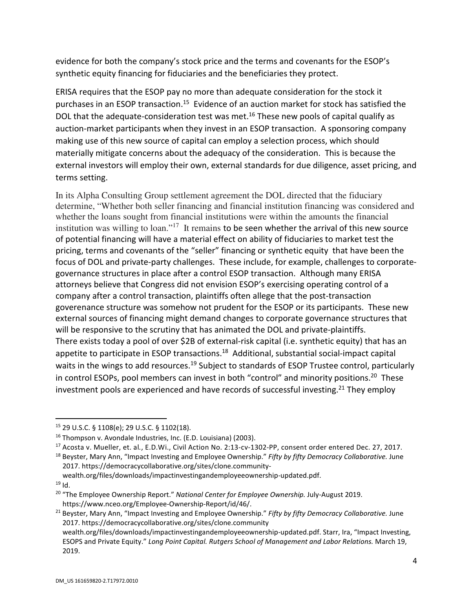evidence for both the company's stock price and the terms and covenants for the ESOP's synthetic equity financing for fiduciaries and the beneficiaries they protect.

ERISA requires that the ESOP pay no more than adequate consideration for the stock it purchases in an ESOP transaction.<sup>15</sup> Evidence of an auction market for stock has satisfied the DOL that the adequate-consideration test was met.<sup>16</sup> These new pools of capital qualify as auction-market participants when they invest in an ESOP transaction. A sponsoring company making use of this new source of capital can employ a selection process, which should materially mitigate concerns about the adequacy of the consideration. This is because the external investors will employ their own, external standards for due diligence, asset pricing, and terms setting.

In its Alpha Consulting Group settlement agreement the DOL directed that the fiduciary determine, "Whether both seller financing and financial institution financing was considered and whether the loans sought from financial institutions were within the amounts the financial institution was willing to loan."<sup>17</sup> It remains to be seen whether the arrival of this new source of potential financing will have a material effect on ability of fiduciaries to market test the pricing, terms and covenants of the "seller" financing or synthetic equity that have been the focus of DOL and private-party challenges. These include, for example, challenges to corporategovernance structures in place after a control ESOP transaction. Although many ERISA attorneys believe that Congress did not envision ESOP's exercising operating control of a company after a control transaction, plaintiffs often allege that the post-transaction goverenance structure was somehow not prudent for the ESOP or its participants. These new external sources of financing might demand changes to corporate governance structures that will be responsive to the scrutiny that has animated the DOL and private-plaintiffs. There exists today a pool of over \$2B of external-risk capital (i.e. synthetic equity) that has an appetite to participate in ESOP transactions.<sup>18</sup> Additional, substantial social-impact capital waits in the wings to add resources.<sup>19</sup> Subject to standards of ESOP Trustee control, particularly in control ESOPs, pool members can invest in both "control" and minority positions.<sup>20</sup> These investment pools are experienced and have records of successful investing.<sup>21</sup> They employ

<sup>15 29</sup> U.S.C. § 1108(e); 29 U.S.C. § 1102(18).

<sup>&</sup>lt;sup>16</sup> Thompson v. Avondale Industries, Inc. (E.D. Louisiana) (2003).<br><sup>17</sup> Acosta v. Mueller, et. al., E.D.Wi., Civil Action No. 2:13-cv-1302-PP, consent order entered Dec. 27, 2017.<br><sup>18</sup> Beyster, Mary Ann. "Impact Investing

<sup>2017.</sup> https://democracycollaborative.org/sites/clone.community-

wealth.org/files/downloads/impactinvestingandemployeeownership-updated.pdf.<br><sup>19</sup> Id.

<sup>20 &</sup>quot;The Employee Ownership Report." *National Center for Employee Ownership.* July-August 2019.

https://www.nceo.org/Employee-Ownership-Report/id/46/. 21 Beyster, Mary Ann, "Impact Investing and Employee Ownership." *Fifty by fifty Democracy Collaborative.* June 2017. https://democracycollaborative.org/sites/clone.community wealth.org/files/downloads/impactinvestingandemployeeownership-updated.pdf. Starr, Ira, "Impact Investing, ESOPS and Private Equity." *Long Point Capital. Rutgers School of Management and Labor Relations.* March 19, 2019.